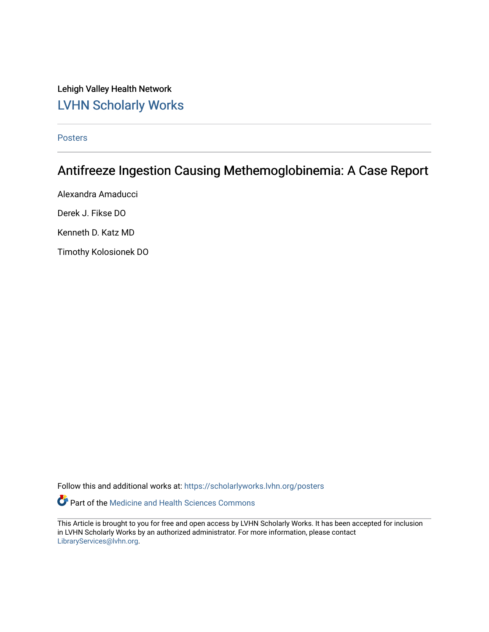Lehigh Valley Health Network [LVHN Scholarly Works](https://scholarlyworks.lvhn.org/)

[Posters](https://scholarlyworks.lvhn.org/posters) 

## Antifreeze Ingestion Causing Methemoglobinemia: A Case Report

Alexandra Amaducci Derek J. Fikse DO Kenneth D. Katz MD Timothy Kolosionek DO

Follow this and additional works at: [https://scholarlyworks.lvhn.org/posters](https://scholarlyworks.lvhn.org/posters?utm_source=scholarlyworks.lvhn.org%2Fposters%2F23&utm_medium=PDF&utm_campaign=PDFCoverPages) 

Part of the [Medicine and Health Sciences Commons](http://network.bepress.com/hgg/discipline/648?utm_source=scholarlyworks.lvhn.org%2Fposters%2F23&utm_medium=PDF&utm_campaign=PDFCoverPages) 

This Article is brought to you for free and open access by LVHN Scholarly Works. It has been accepted for inclusion in LVHN Scholarly Works by an authorized administrator. For more information, please contact [LibraryServices@lvhn.org](mailto:LibraryServices@lvhn.org).